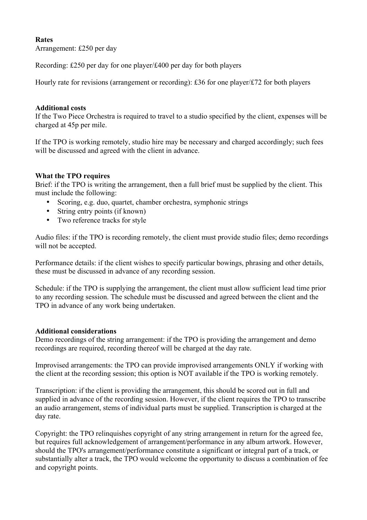## **Rates**

Arrangement: £250 per day

Recording: £250 per day for one player/£400 per day for both players

Hourly rate for revisions (arrangement or recording): £36 for one player/£72 for both players

## **Additional costs**

If the Two Piece Orchestra is required to travel to a studio specified by the client, expenses will be charged at 45p per mile.

If the TPO is working remotely, studio hire may be necessary and charged accordingly; such fees will be discussed and agreed with the client in advance.

## **What the TPO requires**

Brief: if the TPO is writing the arrangement, then a full brief must be supplied by the client. This must include the following:

- Scoring, e.g. duo, quartet, chamber orchestra, symphonic strings
- String entry points (if known)
- Two reference tracks for style

Audio files: if the TPO is recording remotely, the client must provide studio files; demo recordings will not be accepted.

Performance details: if the client wishes to specify particular bowings, phrasing and other details, these must be discussed in advance of any recording session.

Schedule: if the TPO is supplying the arrangement, the client must allow sufficient lead time prior to any recording session. The schedule must be discussed and agreed between the client and the TPO in advance of any work being undertaken.

## **Additional considerations**

Demo recordings of the string arrangement: if the TPO is providing the arrangement and demo recordings are required, recording thereof will be charged at the day rate.

Improvised arrangements: the TPO can provide improvised arrangements ONLY if working with the client at the recording session; this option is NOT available if the TPO is working remotely.

Transcription: if the client is providing the arrangement, this should be scored out in full and supplied in advance of the recording session. However, if the client requires the TPO to transcribe an audio arrangement, stems of individual parts must be supplied. Transcription is charged at the day rate.

Copyright: the TPO relinquishes copyright of any string arrangement in return for the agreed fee, but requires full acknowledgement of arrangement/performance in any album artwork. However, should the TPO's arrangement/performance constitute a significant or integral part of a track, or substantially alter a track, the TPO would welcome the opportunity to discuss a combination of fee and copyright points.